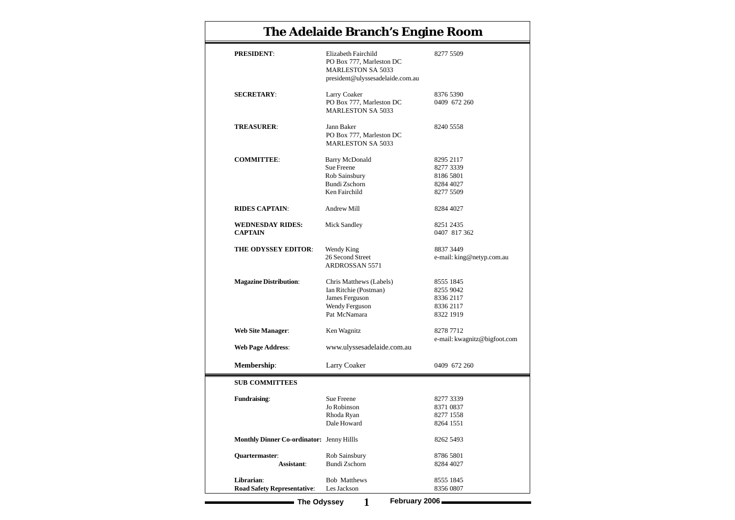| <b>The Adelaide Branch's Engine Room</b>         |                                                                                                                 |                                                               |  |  |  |
|--------------------------------------------------|-----------------------------------------------------------------------------------------------------------------|---------------------------------------------------------------|--|--|--|
| <b>PRESIDENT:</b>                                | Elizabeth Fairchild<br>PO Box 777, Marleston DC<br><b>MARLESTON SA 5033</b><br>president@ulyssesadelaide.com.au | 8277 5509                                                     |  |  |  |
| <b>SECRETARY:</b>                                | Larry Coaker<br>PO Box 777, Marleston DC<br><b>MARLESTON SA 5033</b>                                            | 8376 5390<br>0409 672 260                                     |  |  |  |
| <b>TREASURER:</b>                                | Jann Baker<br>PO Box 777, Marleston DC<br><b>MARLESTON SA 5033</b>                                              | 8240 5558                                                     |  |  |  |
| <b>COMMITTEE:</b>                                | <b>Barry McDonald</b><br>Sue Freene<br>Rob Sainsbury<br>Bundi Zschorn<br>Ken Fairchild                          | 8295 2117<br>8277 3339<br>8186 5801<br>8284 4027<br>8277 5509 |  |  |  |
| <b>RIDES CAPTAIN:</b>                            | <b>Andrew Mill</b>                                                                                              | 8284 4027                                                     |  |  |  |
| <b>WEDNESDAY RIDES:</b><br><b>CAPTAIN</b>        | <b>Mick Sandley</b>                                                                                             | 8251 2435<br>0407 817 362                                     |  |  |  |
| THE ODYSSEY EDITOR:                              | Wendy King<br>26 Second Street<br><b>ARDROSSAN 5571</b>                                                         | 8837 3449<br>e-mail: king@netyp.com.au                        |  |  |  |
| <b>Magazine Distribution:</b>                    | Chris Matthews (Labels)<br>Ian Ritchie (Postman)<br>James Ferguson<br><b>Wendy Ferguson</b><br>Pat McNamara     | 8555 1845<br>8255 9042<br>8336 2117<br>8336 2117<br>8322 1919 |  |  |  |
| <b>Web Site Manager:</b>                         | Ken Wagnitz                                                                                                     | 8278 7712<br>e-mail: kwagnitz@bigfoot.com                     |  |  |  |
| <b>Web Page Address:</b>                         | www.ulyssesadelaide.com.au                                                                                      |                                                               |  |  |  |
| Membership:                                      | <b>Larry Coaker</b>                                                                                             | 0409 672 260                                                  |  |  |  |
| <b>SUB COMMITTEES</b>                            |                                                                                                                 |                                                               |  |  |  |
| <b>Fundraising:</b>                              | <b>Sue Freene</b><br>Jo Robinson<br>Rhoda Ryan<br>Dale Howard                                                   | 8277 3339<br>8371 0837<br>8277 1558<br>8264 1551              |  |  |  |
| <b>Monthly Dinner Co-ordinator:</b> Jenny Hillls |                                                                                                                 | 8262 5493                                                     |  |  |  |
| Quartermaster:<br>Assistant:                     | Rob Sainsbury<br><b>Bundi Zschorn</b>                                                                           | 8786 5801<br>8284 4027                                        |  |  |  |
| Librarian:<br><b>Road Safety Representative:</b> | <b>Bob Matthews</b><br>Les Jackson                                                                              | 8555 1845<br>8356 0807                                        |  |  |  |
| <b>The Odyssey</b>                               | February 2006<br>1                                                                                              |                                                               |  |  |  |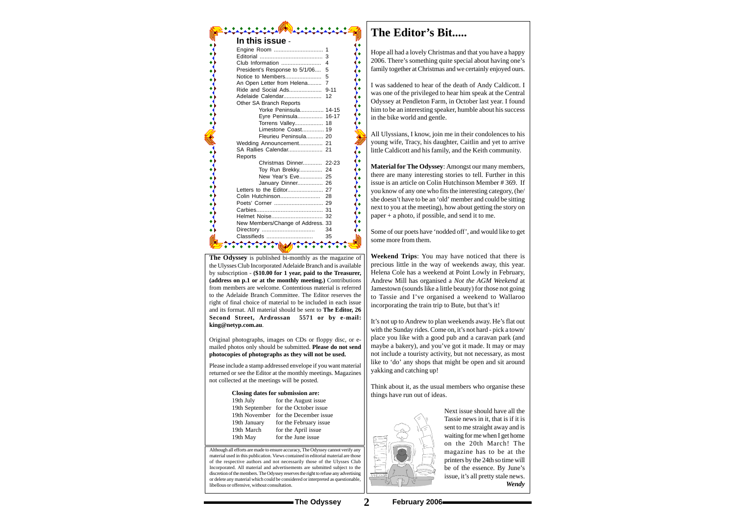Although all efforts are made to ensure accuracy, The Odyssey cannot verify any material used in this publication. Views contained in editorial material are those of the respective authors and not necessarily those of the Ulysses Club Incorporated. All material and advertisements are submitted subject to the discretion of the members. The Odyssey reserves the right to refuse any advertising or delete any material which could be considered or interpreted as questionable, libellous or offensive, without consultation.

**The Odyssey** is published bi-monthly as the magazine of the Ulysses Club Incorporated Adelaide Branch and is available by subscription - **(\$10.00 for 1 year, paid to the Treasurer, (address on p.1 or at the monthly meeting.)** Contributions from members are welcome. Contentious material is referred to the Adelaide Branch Committee. The Editor reserves the right of final choice of material to be included in each issue and its format. All material should be sent to **The Editor, 26 Second Street, Ardrossan 5571 or by e-mail: king@netyp.com.au**.

í۰

| Closing dates for submission are: |                                      |  |  |  |  |
|-----------------------------------|--------------------------------------|--|--|--|--|
| 19th July                         | for the August issue                 |  |  |  |  |
|                                   | 19th September for the October issue |  |  |  |  |
|                                   | 19th November for the December issue |  |  |  |  |
| 19th January                      | for the February issue               |  |  |  |  |
| 19th March                        | for the April issue                  |  |  |  |  |
| 19th May                          | for the June issue                   |  |  |  |  |
|                                   |                                      |  |  |  |  |

Original photographs, images on CDs or floppy disc, or emailed photos only should be submitted. **Please do not send photocopies of photographs as they will not be used.**

Please include a stamp addressed envelope if you want material returned or see the Editor at the monthly meetings. Magazines not collected at the meetings will be posted.

# **In this issue** -

| Club Information<br>4<br>President's Response to 5/1/06<br>5<br>Notice to Members<br>5<br>An Open Letter from Helena 7<br>Other SA Branch Reports<br>Yorke Peninsula 14-15<br>Eyre Peninsula 16-17<br>Torrens Valley 18<br>Limestone Coast 19<br>Fleurieu Peninsula 20<br>Wedding Announcement 21<br>Reports<br>Christmas Dinner 22-23<br>Toy Run Brekky<br>24<br>New Year's Eve 25<br>January Dinner 26<br>Helmet Noise 32<br>New Members/Change of Address. 33<br>34<br>Classifieds<br>35 | In this issue - |  |
|---------------------------------------------------------------------------------------------------------------------------------------------------------------------------------------------------------------------------------------------------------------------------------------------------------------------------------------------------------------------------------------------------------------------------------------------------------------------------------------------|-----------------|--|
|                                                                                                                                                                                                                                                                                                                                                                                                                                                                                             |                 |  |
|                                                                                                                                                                                                                                                                                                                                                                                                                                                                                             |                 |  |
|                                                                                                                                                                                                                                                                                                                                                                                                                                                                                             |                 |  |
|                                                                                                                                                                                                                                                                                                                                                                                                                                                                                             |                 |  |
|                                                                                                                                                                                                                                                                                                                                                                                                                                                                                             |                 |  |
|                                                                                                                                                                                                                                                                                                                                                                                                                                                                                             |                 |  |
|                                                                                                                                                                                                                                                                                                                                                                                                                                                                                             |                 |  |
|                                                                                                                                                                                                                                                                                                                                                                                                                                                                                             |                 |  |
|                                                                                                                                                                                                                                                                                                                                                                                                                                                                                             |                 |  |
|                                                                                                                                                                                                                                                                                                                                                                                                                                                                                             |                 |  |
|                                                                                                                                                                                                                                                                                                                                                                                                                                                                                             |                 |  |
|                                                                                                                                                                                                                                                                                                                                                                                                                                                                                             |                 |  |
|                                                                                                                                                                                                                                                                                                                                                                                                                                                                                             |                 |  |
|                                                                                                                                                                                                                                                                                                                                                                                                                                                                                             |                 |  |
|                                                                                                                                                                                                                                                                                                                                                                                                                                                                                             |                 |  |
|                                                                                                                                                                                                                                                                                                                                                                                                                                                                                             |                 |  |
|                                                                                                                                                                                                                                                                                                                                                                                                                                                                                             |                 |  |
|                                                                                                                                                                                                                                                                                                                                                                                                                                                                                             |                 |  |
|                                                                                                                                                                                                                                                                                                                                                                                                                                                                                             |                 |  |
|                                                                                                                                                                                                                                                                                                                                                                                                                                                                                             |                 |  |
|                                                                                                                                                                                                                                                                                                                                                                                                                                                                                             |                 |  |
|                                                                                                                                                                                                                                                                                                                                                                                                                                                                                             |                 |  |
|                                                                                                                                                                                                                                                                                                                                                                                                                                                                                             |                 |  |
|                                                                                                                                                                                                                                                                                                                                                                                                                                                                                             |                 |  |
|                                                                                                                                                                                                                                                                                                                                                                                                                                                                                             |                 |  |
|                                                                                                                                                                                                                                                                                                                                                                                                                                                                                             |                 |  |
|                                                                                                                                                                                                                                                                                                                                                                                                                                                                                             |                 |  |
|                                                                                                                                                                                                                                                                                                                                                                                                                                                                                             |                 |  |
|                                                                                                                                                                                                                                                                                                                                                                                                                                                                                             |                 |  |
|                                                                                                                                                                                                                                                                                                                                                                                                                                                                                             |                 |  |

# **The Editor's Bit.....**

Hope all had a lovely Christmas and that you have a happy 2006. There's something quite special about having one's family together at Christmas and we certainly enjoyed ours.

I was saddened to hear of the death of Andy Caldicott. I was one of the privileged to hear him speak at the Central Odyssey at Pendleton Farm, in October last year. I found him to be an interesting speaker, humble about his success in the bike world and gentle.

All Ulyssians, I know, join me in their condolences to his young wife, Tracy, his daughter, Caitlin and yet to arrive little Caldicott and his family, and the Keith community.

**Material for The Odyssey**: Amongst our many members, there are many interesting stories to tell. Further in this issue is an article on Colin Hutchinson Member # 369. If you know of any one who fits the interesting category, (he/ she doesn't have to be an 'old' member and could be sitting next to you at the meeting), how about getting the story on paper + a photo, if possible, and send it to me.

Some of our poets have 'nodded off', and would like to get some more from them.

**Weekend Trips**: You may have noticed that there is precious little in the way of weekends away, this year. Helena Cole has a weekend at Point Lowly in February, Andrew Mill has organised a *Not the AGM Weekend* at Jamestown (sounds like a little beauty) for those not going to Tassie and I've organised a weekend to Wallaroo incorporating the train trip to Bute, but that's it!

It's not up to Andrew to plan weekends away. He's flat out with the Sunday rides. Come on, it's not hard - pick a town/ place you like with a good pub and a caravan park (and maybe a bakery), and you've got it made. It may or may not include a touristy activity, but not necessary, as most like to 'do' any shops that might be open and sit around yakking and catching up!

Think about it, as the usual members who organise these things have run out of ideas.



Next issue should have all the Tassie news in it, that is if it is sent to me straight away and is waiting for me when I get home on the 20th March! The magazine has to be at the printers by the 24th so time will be of the essence. By June's issue, it's all pretty stale news. *Wendy*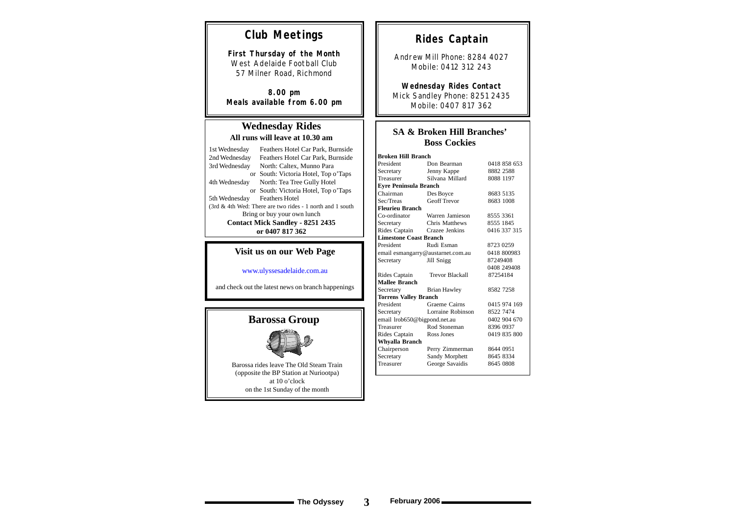### **SA & Broken Hill Branches' Boss Cockies**

### **Wednesday Rides All runs will leave at 10.30 am**

| 1st Wednesday                           | Feathers Hotel Car Park, Burnside                         |  |  |  |
|-----------------------------------------|-----------------------------------------------------------|--|--|--|
| 2nd Wednesday                           | Feathers Hotel Car Park, Burnside                         |  |  |  |
| 3rd Wednesday                           | North: Caltex, Munno Para                                 |  |  |  |
|                                         | or South: Victoria Hotel, Top o'Taps                      |  |  |  |
| 4th Wednesday                           | North: Tea Tree Gully Hotel                               |  |  |  |
|                                         | or South: Victoria Hotel, Top o'Taps                      |  |  |  |
| 5th Wednesday Feathers Hotel            |                                                           |  |  |  |
|                                         | (3rd & 4th Wed: There are two rides - 1 north and 1 south |  |  |  |
| Bring or buy your own lunch             |                                                           |  |  |  |
| <b>Contact Mick Sandley - 8251 2435</b> |                                                           |  |  |  |
| or 0407 817 362                         |                                                           |  |  |  |

# **Club Meetings**

**First Thursday of the Month** West Adelaide Football Club 57 Milner Road, Richmond

**8.00 pm Meals available from 6.00 pm**

# **Rides Captain**

Andrew Mill Phone: 8284 4027 Mobile: 0412 312 243

**Wednesday Rides Contact** Mick Sandley Phone: 8251 2435 Mobile: 0407 817 362

### **Visit us on our Web Page**

www.ulyssesadelaide.com.au

and check out the latest news on branch happenings

Barossa rides leave The Old Steam Train (opposite the BP Station at Nuriootpa) at 10 o'clock on the 1st Sunday of the month

| <b>Broken Hill Branch</b>         |                              |              |  |  |  |  |
|-----------------------------------|------------------------------|--------------|--|--|--|--|
| President<br>Don Bearman          |                              | 0418 858 653 |  |  |  |  |
| Jenny Kappe<br>Secretary          |                              | 8882 2588    |  |  |  |  |
| Treasurer                         | Silvana Millard              | 8088 1197    |  |  |  |  |
| <b>Eyre Peninsula Branch</b>      |                              |              |  |  |  |  |
| Chairman                          | Des Boyce                    | 8683 5135    |  |  |  |  |
| Sec/Treas                         | <b>Geoff Trevor</b>          | 8683 1008    |  |  |  |  |
| <b>Fleurieu Branch</b>            |                              |              |  |  |  |  |
| Co-ordinator                      | Warren Jamieson              | 8555 3361    |  |  |  |  |
| Secretary                         | <b>Chris Matthews</b>        | 8555 1845    |  |  |  |  |
| Rides Captain                     | Crazee Jenkins               | 0416 337 315 |  |  |  |  |
| <b>Limestone Coast Branch</b>     |                              |              |  |  |  |  |
| President                         | Rudi Esman                   | 8723 0259    |  |  |  |  |
| email esmangarry@austarnet.com.au |                              | 0418 800983  |  |  |  |  |
| Secretary                         | Jill Snigg                   | 87249408     |  |  |  |  |
|                                   |                              | 0408 249408  |  |  |  |  |
| Rides Captain                     | <b>Trevor Blackall</b>       | 87254184     |  |  |  |  |
| <b>Mallee Branch</b>              |                              |              |  |  |  |  |
| Secretary                         | <b>Brian Hawley</b>          | 8582 7258    |  |  |  |  |
|                                   | <b>Torrens Valley Branch</b> |              |  |  |  |  |
| President                         | Graeme Cairns                | 0415 974 169 |  |  |  |  |
| Lorraine Robinson<br>Secretary    |                              | 8522 7474    |  |  |  |  |
| email lrob650@bigpond.net.au      |                              | 0402 904 670 |  |  |  |  |
| Treasurer                         | Rod Stoneman                 | 8396 0937    |  |  |  |  |
| Rides Captain<br>Ross Jones       |                              | 0419 835 800 |  |  |  |  |
| <b>Whyalla Branch</b>             |                              |              |  |  |  |  |
| Chairperson                       | Perry Zimmerman              | 8644 0951    |  |  |  |  |
| Secretary                         | Sandy Morphett               | 8645 8334    |  |  |  |  |
| Treasurer                         | George Savaidis              | 8645 0808    |  |  |  |  |
|                                   |                              |              |  |  |  |  |

# **Barossa Group**

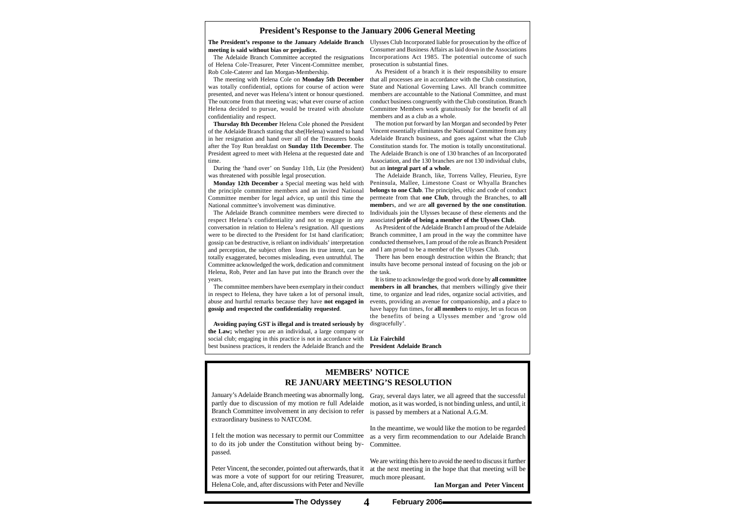#### **President's Response to the January 2006 General Meeting**

January's Adelaide Branch meeting was abnormally long, Gray, several days later, we all agreed that the successful Branch Committee involvement in any decision to refer is passed by members at a National A.G.M. extraordinary business to NATCOM.

to do its job under the Constitution without being by-Committee. passed.

partly due to discussion of my motion re full Adelaide motion, as it was worded, is not binding unless, and until, it

Peter Vincent, the seconder, pointed out afterwards, that it at the next meeting in the hope that that meeting will be We are writing this here to avoid the need to discuss it further

was more a vote of support for our retiring Treasurer, much more pleasant. Helena Cole, and, after discussions with Peter and Neville

I felt the motion was necessary to permit our Committee as a very firm recommendation to our Adelaide Branch In the meantime, we would like the motion to be regarded

#### **MEMBERS' NOTICE RE JANUARY MEETING'S RESOLUTION**

**Ian Morgan and Peter Vincent** 

**meeting is said without bias or prejudice.**

The Adelaide Branch Committee accepted the resignations of Helena Cole-Treasurer, Peter Vincent-Committee member, prosecution is substantial fines. Rob Cole-Caterer and Ian Morgan-Membership.

The meeting with Helena Cole on **Monday 5th December** was totally confidential, options for course of action were presented, and never was Helena's intent or honour questioned. The outcome from that meeting was; what ever course of action Helena decided to pursue, would be treated with absolute confidentiality and respect.

**Thursday 8th December** Helena Cole phoned the President of the Adelaide Branch stating that she(Helena) wanted to hand in her resignation and hand over all of the Treasurers books after the Toy Run breakfast on **Sunday 11th December**. The President agreed to meet with Helena at the requested date and time.

During the 'hand over' on Sunday 11th, Liz (the President) was threatened with possible legal prosecution.

**Monday 12th December** a Special meeting was held with the principle committee members and an invited National Committee member for legal advice, up until this time the National committee's involvement was diminutive.

**The President's response to the January Adelaide Branch** Ulysses Club Incorporated liable for prosecution by the office of Consumer and Business Affairs as laid down in the Associations Incorporations Act 1985. The potential outcome of such

The Adelaide Branch committee members were directed to respect Helena's confidentiality and not to engage in any conversation in relation to Helena's resignation. All questions were to be directed to the President for 1st hand clarification; gossip can be destructive, is reliant on individuals' interpretation and perception, the subject often loses its true intent, can be totally exaggerated, becomes misleading, even untruthful. The Committee acknowledged the work, dedication and commitment Helena, Rob, Peter and Ian have put into the Branch over the years.

The committee members have been exemplary in their conduct in respect to Helena, they have taken a lot of personal insult, abuse and hurtful remarks because they have **not engaged in gossip and respected the confidentiality requested**.

As President of a branch it is their responsibility to ensure that all processes are in accordance with the Club constitution, State and National Governing Laws. All branch committee members are accountable to the National Committee, and must conduct business congruently with the Club constitution. Branch Committee Members work gratuitously for the benefit of all members and as a club as a whole.

The motion put forward by Ian Morgan and seconded by Peter Vincent essentially eliminates the National Committee from any Adelaide Branch business, and goes against what the Club Constitution stands for. The motion is totally unconstitutional. The Adelaide Branch is one of 130 branches of an Incorporated Association, and the 130 branches are not 130 individual clubs, but an **integral part of a whole**.

**Avoiding paying GST is illegal and is treated seriously by the Law;** whether you are an individual, a large company or social club; engaging in this practice is not in accordance with **Liz Fairchild** best business practices, it renders the Adelaide Branch and the **President Adelaide Branch**

The Adelaide Branch, like, Torrens Valley, Fleurieu, Eyre Peninsula, Mallee, Limestone Coast or Whyalla Branches **belongs to one Club**. The principles, ethic and code of conduct permeate from that **one Club**, through the Branches, to **all member**s, and we are **all governed by the one constitution**. Individuals join the Ulysses because of these elements and the associated **pride of being a member of the Ulysses Club**.

As President of the Adelaide Branch I am proud of the Adelaide Branch committee, I am proud in the way the committee have conducted themselves, I am proud of the role as Branch President and I am proud to be a member of the Ulysses Club.

There has been enough destruction within the Branch; that insults have become personal instead of focusing on the job or the task.

It is time to acknowledge the good work done by **all committee members in all branches**, that members willingly give their time, to organize and lead rides, organize social activities, and events, providing an avenue for companionship, and a place to have happy fun times, for **all members** to enjoy, let us focus on the benefits of being a Ulysses member and 'grow old disgracefully'.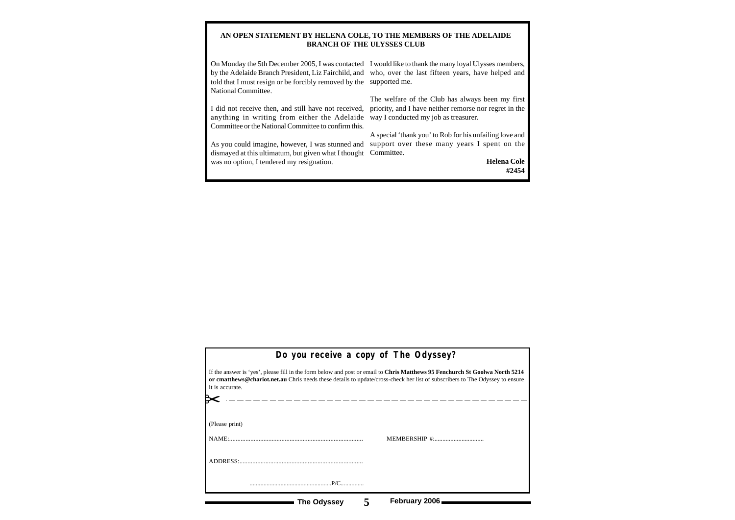#### **AN OPEN STATEMENT BY HELENA COLE, TO THE MEMBERS OF THE ADELAIDE BRANCH OF THE ULYSSES CLUB**

On Monday the 5th December 2005, I was contacted I would like to thank the many loyal Ulysses members, by the Adelaide Branch President, Liz Fairchild, and who, over the last fifteen years, have helped and told that I must resign or be forcibly removed by the supported me. National Committee.

anything in writing from either the Adelaide way I conducted my job as treasurer. Committee or the National Committee to confirm this.

As you could imagine, however, I was stunned and support over these many years I spent on the dismayed at this ultimatum, but given what I thought Committee. was no option, I tendered my resignation.

I did not receive then, and still have not received, priority, and I have neither remorse nor regret in the The welfare of the Club has always been my first

A special 'thank you' to Rob for his unfailing love and

**Helena Cole #2454**

| Do you receive a copy of The Odyssey?                                                                                                                                                                                                                                                        |  |  |  |  |  |
|----------------------------------------------------------------------------------------------------------------------------------------------------------------------------------------------------------------------------------------------------------------------------------------------|--|--|--|--|--|
| If the answer is 'yes', please fill in the form below and post or email to Chris Matthews 95 Fenchurch St Goolwa North 5214<br>or cmatthews@chariot.net.au Chris needs these details to update/cross-check her list of subscribers to The Odyssey to ensure<br>it is accurate.<br>__________ |  |  |  |  |  |
| (Please print)<br>MEMBERSHIP #:                                                                                                                                                                                                                                                              |  |  |  |  |  |
|                                                                                                                                                                                                                                                                                              |  |  |  |  |  |
|                                                                                                                                                                                                                                                                                              |  |  |  |  |  |
| February 2006<br>The Odyssey                                                                                                                                                                                                                                                                 |  |  |  |  |  |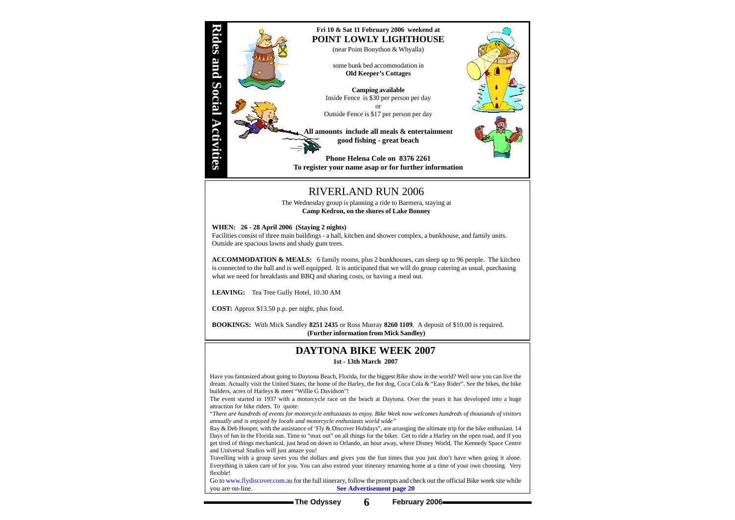**The Odyssey 6 February 2006**



## RIVERLAND RUN 2006

The Wednesday group is planning a ride to Barmera, staying at **Camp Kedron, on the shores of Lake Bonney**

#### **WHEN: 26 - 28 April 2006 (Staying 2 nights)**

Facilities consist of three main buildings - a hall, kitchen and shower complex, a bunkhouse, and family units. Outside are spacious lawns and shady gum trees.

**ACCOMMODATION & MEALS:** 6 family rooms, plus 2 bunkhouses, can sleep up to 96 people. The kitchen is connected to the hall and is well equipped. It is anticipated that we will do group catering as usual, purchasing what we need for breakfasts and BBQ and sharing costs, or having a meal out.

**LEAVING:** Tea Tree Gully Hotel, 10.30 AM

**COST:** Approx \$13.50 p.p. per night, plus food.

**BOOKINGS:** With Mick Sandley **8251 2435** or Ross Murray **8260 1109**. A deposit of \$10.00 is required. **(Further information from Mick Sandley)**

### **DAYTONA BIKE WEEK 2007**

**1st - 13th March 2007**

Go to www.flydiscover.com.au for the full itinerary, follow the prompts and check out the official Bike week site while you are on-line. **See Advertisement page 20**

Have you fantasized about going to Daytona Beach, Florida, for the biggest Bike show in the world? Well now you can live the dream. Actually visit the United States, the home of the Harley, the hot dog, Coca Cola & "Easy Rider". See the bikes, the bike builders, acres of Harleys & meet "Willie G Davidson"!

The event started in 1937 with a motorcycle race on the beach at Daytona. Over the years it has developed into a huge attraction for bike riders. To quote:

"*There are hundreds of events for motorcycle enthusiasts to enjoy. Bike Week now welcomes hundreds of thousands of visitors annually and is enjoyed by locals and motorcycle enthusiasts world wide"*

Ray & Deb Hooper, with the assistance of 'Fly & Discover Holidays", are arranging the ultimate trip for the bike enthusiast. 14 Days of fun in the Florida sun. Time to "max out" on all things for the biker. Get to ride a Harley on the open road, and if you get tired of things mechanical, just head on down to Orlando, an hour away, where Disney World, The Kennedy Space Centre and Universal Studios will just amaze you!

Travelling with a group saves you the dollars and gives you the fun times that you just don't have when going it alone. Everything is taken care of for you. You can also extend your itinerary returning home at a time of your own choosing. Very flexible!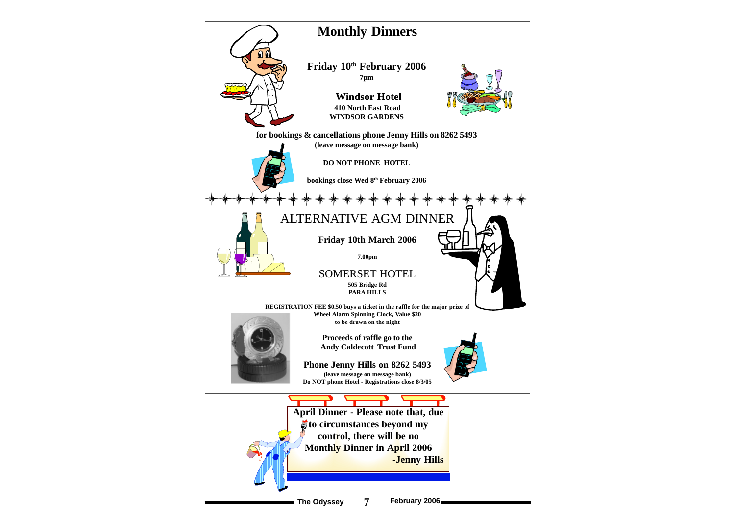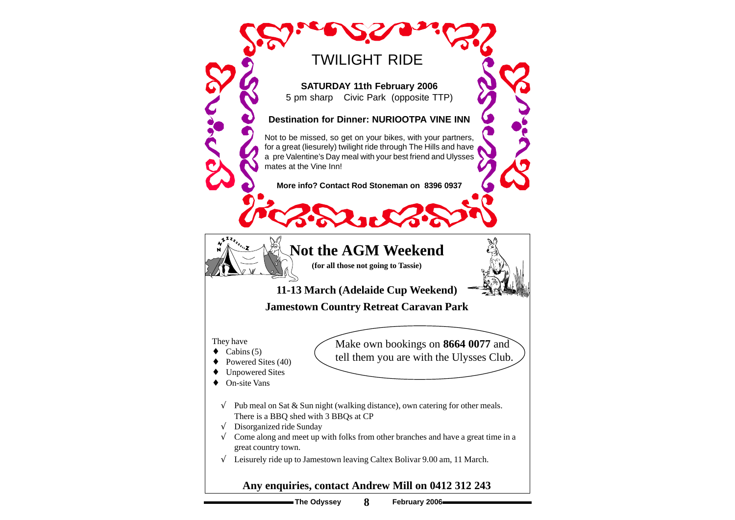**The Odyssey 8 February 2006**

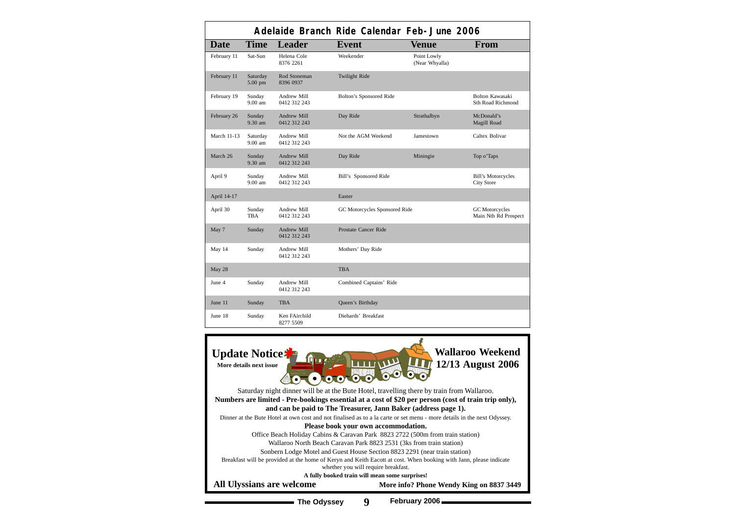| Adelaide Branch Ride Calendar Feb-June 2006 |                       |                                    |                               |                               |                                                |
|---------------------------------------------|-----------------------|------------------------------------|-------------------------------|-------------------------------|------------------------------------------------|
| <b>Date</b>                                 | <b>Time</b>           | <b>Leader</b>                      | <b>Event</b>                  | <b>Venue</b>                  | From                                           |
| February 11                                 | Sat-Sun               | Helena Cole<br>8376 2261           | Weekender                     | Point Lowly<br>(Near Whyalla) |                                                |
| February 11                                 | Saturday<br>5.00 pm   | Rod Stoneman<br>8396 0937          | <b>Twilight Ride</b>          |                               |                                                |
| February 19                                 | Sunday<br>$9.00$ am   | Andrew Mill<br>0412 312 243        | Bolton's Sponsored Ride       |                               | Bolton Kawasaki<br><b>Sth Road Richmond</b>    |
| February 26                                 | Sunday<br>9.30 am     | Andrew Mill<br>0412 312 243        | Day Ride                      | Strathalbyn                   | McDonald's<br>Magill Road                      |
| <b>March 11-13</b>                          | Saturday<br>$9.00$ am | Andrew Mill<br>0412 312 243        | Not the AGM Weekend           | Jamestown                     | Caltex Bolivar                                 |
| March 26                                    | Sunday<br>9.30 am     | <b>Andrew Mill</b><br>0412 312 243 | Day Ride                      | Miningie                      | Top o'Taps                                     |
| April 9                                     | Sunday<br>9.00 am     | Andrew Mill<br>0412 312 243        | Bill's Sponsored Ride         |                               | <b>Bill's Motorcycles</b><br><b>City Store</b> |
| April 14-17                                 |                       |                                    | Easter                        |                               |                                                |
| April 30                                    | Sunday<br><b>TBA</b>  | Andrew Mill<br>0412 312 243        | GC Motorcycles Sponsored Ride |                               | <b>GC</b> Motorcycles<br>Main Nth Rd Prospect  |
| May 7                                       | Sunday                | Andrew Mill<br>0412 312 243        | Prostate Cancer Ride          |                               |                                                |
| May 14                                      | Sunday                | <b>Andrew Mill</b><br>0412 312 243 | Mothers' Day Ride             |                               |                                                |
| May 28                                      |                       |                                    | <b>TBA</b>                    |                               |                                                |
| June 4                                      | Sunday                | Andrew Mill<br>0412 312 243        | Combined Captains' Ride       |                               |                                                |
| June 11                                     | Sunday                | <b>TBA</b>                         | Queen's Birthday              |                               |                                                |
| June 18                                     | Sunday                | Ken FAirchild<br>8277 5509         | Diehards' Breakfast           |                               |                                                |

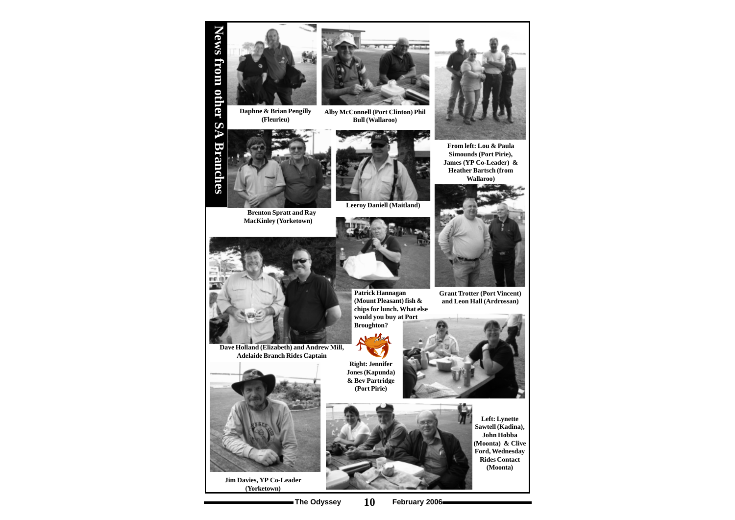

**Alby McConnell (Port Clinton) Phil Bull (Wallaroo)**



**Daphne & Brian Pengilly (Fleurieu)**





**Brenton Spratt and Ray MacKinley (Yorketown)**





**Grant Trotter (Port Vincent) and Leon Hall (Ardrossan)**



**Leeroy Daniell (Maitland)**



**From left: Lou & Paula Simounds (Port Pirie), James (YP Co-Leader) & Heather Bartsch (from Wallaroo)**



**Jim Davies, YP Co-Leader (Yorketown)**





**Right: Jennifer Jones (Kapunda) & Bev Partridge (Port Pirie)**



**Left: Lynette Sawtell (Kadina), John Hobba (Moonta) & Clive Ford, Wednesday Rides Contact (Moonta)**

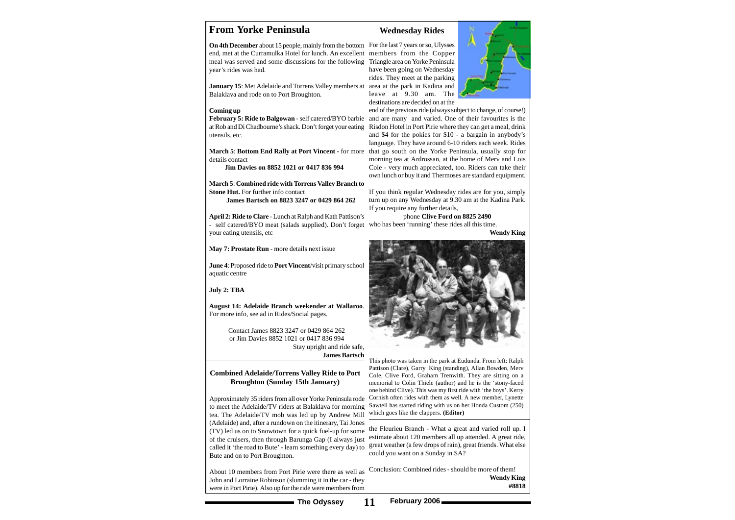### **From Yorke Peninsula**

**On 4th December** about 15 people, mainly from the bottom For the last 7 years or so, Ulysses end, met at the Curramulka Hotel for lunch. An excellent members from the Copper meal was served and some discussions for the following year's rides was had.

January 15: Met Adelaide and Torrens Valley members at area at the park in Kadina and Balaklava and rode on to Port Broughton.

**March 5**: **Combined ride with Torrens Valley Branch to Stone Hut.** For further info contact

#### **Coming up**

at Rob and Di Chadbourne's shack. Don't forget your eating utensils, etc.

details contact

 **Jim Davies on 8852 1021 or 0417 836 994**

**James Bartsch on 8823 3247 or 0429 864 262**

**April 2: Ride to Clare** - Lunch at Ralph and Kath Pattison's - self catered/BYO meat (salads supplied). Don't forget who has been 'running' these rides all this time. your eating utensils, etc

**May 7: Prostate Run** - more details next issue

**June 4**: Proposed ride to **Port Vincent**/visit primary school aquatic centre

#### **July 2: TBA**

February 5: Ride to Balgowan - self catered/BYO barbie and are many and varied. One of their favourites is the **March 5**: **Bottom End Rally at Port Vincent** - for more that go south on the Yorke Peninsula, usually stop for end of the previous ride (always subject to change, of course!) Risdon Hotel in Port Pirie where they can get a meal, drink and \$4 for the pokies for \$10 - a bargain in anybody's language. They have around 6-10 riders each week. Rides morning tea at Ardrossan, at the home of Merv and Lois Cole - very much appreciated, too. Riders can take their own lunch or buy it and Thermoses are standard equipment.

**August 14: Adelaide Branch weekender at Wallaroo**. For more info, see ad in Rides/Social pages.

> Contact James 8823 3247 or 0429 864 262 or Jim Davies 8852 1021 or 0417 836 994 Stay upright and ride safe, **James Bartsch**

#### **Wednesday Rides**

Triangle area on Yorke Peninsula have been going on Wednesday rides. They meet at the parking leave at 9.30 am. The destinations are decided on at the



If you think regular Wednesday rides are for you, simply turn up on any Wednesday at 9.30 am at the Kadina Park. If you require any further details,

phone **Clive Ford on 8825 2490**

**Wendy King**



This photo was taken in the park at Eudunda. From left: Ralph Pattison (Clare), Garry King (standing), Allan Bowden, Merv Cole, Clive Ford, Graham Trenwith. They are sitting on a memorial to Colin Thiele (author) and he is the 'stony-faced one behind Clive). This was my first ride with 'the boys'. Kerry Cornish often rides with them as well. A new member, Lynette Sawtell has started riding with us on her Honda Custom (250) which goes like the clappers. **(Editor)**

#### **Combined Adelaide/Torrens Valley Ride to Port Broughton (Sunday 15th January)**

Approximately 35 riders from all over Yorke Peninsula rode to meet the Adelaide/TV riders at Balaklava for morning tea. The Adelaide/TV mob was led up by Andrew Mill (Adelaide) and, after a rundown on the itinerary, Tai Jones (TV) led us on to Snowtown for a quick fuel-up for some of the cruisers, then through Barunga Gap (I always just called it 'the road to Bute' - learn something every day) to Bute and on to Port Broughton.

About 10 members from Port Pirie were there as well as John and Lorraine Robinson (slumming it in the car - they were in Port Pirie). Also up for the ride were members from

the Fleurieu Branch - What a great and varied roll up. I estimate about 120 members all up attended. A great ride, great weather (a few drops of rain), great friends. What else could you want on a Sunday in SA?

Conclusion: Combined rides - should be more of them! **Wendy King #8818**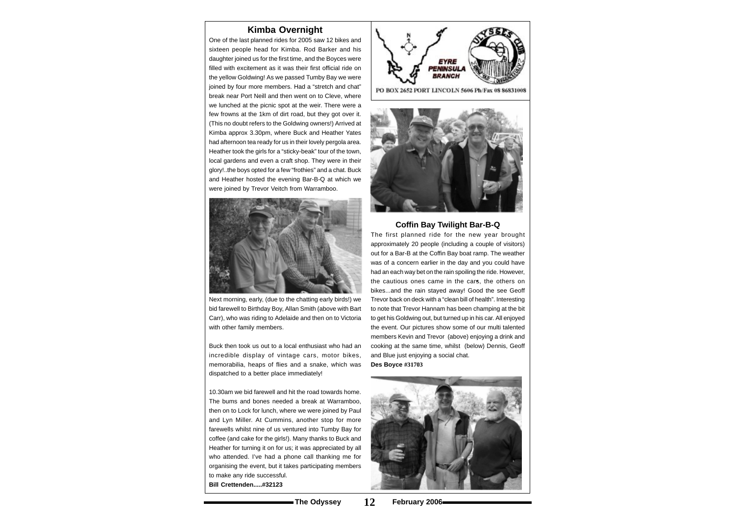#### **Kimba Overnight**

One of the last planned rides for 2005 saw 12 bikes and sixteen people head for Kimba. Rod Barker and his daughter joined us for the first time, and the Boyces were filled with excitement as it was their first official ride on the yellow Goldwing! As we passed Tumby Bay we were joined by four more members. Had a "stretch and chat" break near Port Neill and then went on to Cleve, where we lunched at the picnic spot at the weir. There were a few frowns at the 1km of dirt road, but they got over it. (This no doubt refers to the Goldwing owners!) Arrived at Kimba approx 3.30pm, where Buck and Heather Yates had afternoon tea ready for us in their lovely pergola area. Heather took the girls for a "sticky-beak" tour of the town, local gardens and even a craft shop. They were in their glory!..the boys opted for a few "frothies" and a chat. Buck and Heather hosted the evening Bar-B-Q at which we were joined by Trevor Veitch from Warramboo.



Next morning, early, (due to the chatting early birds!) we bid farewell to Birthday Boy, Allan Smith (above with Bart Carr), who was riding to Adelaide and then on to Victoria with other family members.

Buck then took us out to a local enthusiast who had an incredible display of vintage cars, motor bikes, memorabilia, heaps of flies and a snake, which was dispatched to a better place immediately!

10.30am we bid farewell and hit the road towards home. The bums and bones needed a break at Warramboo, then on to Lock for lunch, where we were joined by Paul and Lyn Miller. At Cummins, another stop for more farewells whilst nine of us ventured into Tumby Bay for coffee (and cake for the girls!). Many thanks to Buck and Heather for turning it on for us; it was appreciated by all who attended. I've had a phone call thanking me for organising the event, but it takes participating members to make any ride successful. **Bill Crettenden.....#32123**





#### **Coffin Bay Twilight Bar-B-Q**

The first planned ride for the new year brought approximately 20 people (including a couple of visitors) out for a Bar-B at the Coffin Bay boat ramp. The weather was of a concern earlier in the day and you could have had an each way bet on the rain spoiling the ride. However, the cautious ones came in the cars, the others on bikes...and the rain stayed away! Good the see Geoff Trevor back on deck with a "clean bill of health". Interesting to note that Trevor Hannam has been champing at the bit to get his Goldwing out, but turned up in his car. All enjoyed the event. Our pictures show some of our multi talented members Kevin and Trevor (above) enjoying a drink and cooking at the same time, whilst (below) Dennis, Geoff and Blue just enjoying a social chat. **Des Boyce #31703**

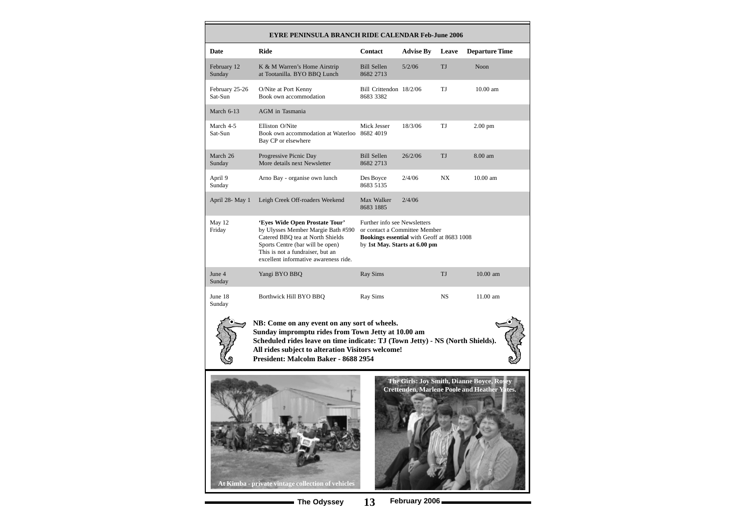| <b>EYRE PENINSULA BRANCH RIDE CALENDAR Feb-June 2006</b>                                                                                                                                                                                                                         |                                                                                                                                                                                                                           |                                                                                                                                              |                  |           |                       |
|----------------------------------------------------------------------------------------------------------------------------------------------------------------------------------------------------------------------------------------------------------------------------------|---------------------------------------------------------------------------------------------------------------------------------------------------------------------------------------------------------------------------|----------------------------------------------------------------------------------------------------------------------------------------------|------------------|-----------|-----------------------|
| Date                                                                                                                                                                                                                                                                             | <b>Ride</b>                                                                                                                                                                                                               | <b>Contact</b>                                                                                                                               | <b>Advise By</b> | Leave     | <b>Departure Time</b> |
| February 12<br>Sunday                                                                                                                                                                                                                                                            | K & M Warren's Home Airstrip<br>at Tootanilla. BYO BBQ Lunch                                                                                                                                                              | <b>Bill Sellen</b><br>8682 2713                                                                                                              | 5/2/06           | TJ        | Noon                  |
| February 25-26<br>Sat-Sun                                                                                                                                                                                                                                                        | O/Nite at Port Kenny<br>Book own accommodation                                                                                                                                                                            | Bill Crittendon 18/2/06<br>8683 3382                                                                                                         |                  | TJ        | 10.00 am              |
| March 6-13                                                                                                                                                                                                                                                                       | AGM in Tasmania                                                                                                                                                                                                           |                                                                                                                                              |                  |           |                       |
| March 4-5<br>Sat-Sun                                                                                                                                                                                                                                                             | Elliston O/Nite<br>Book own accommodation at Waterloo<br>Bay CP or elsewhere                                                                                                                                              | Mick Jesser<br>8682 4019                                                                                                                     | 18/3/06          | TJ        | $2.00$ pm             |
| March 26<br>Sunday                                                                                                                                                                                                                                                               | Progressive Picnic Day<br>More details next Newsletter                                                                                                                                                                    | <b>Bill Sellen</b><br>8682 2713                                                                                                              | 26/2/06          | TJ        | 8.00 am               |
| April 9<br>Sunday                                                                                                                                                                                                                                                                | Arno Bay - organise own lunch                                                                                                                                                                                             | Des Boyce<br>8683 5135                                                                                                                       | 2/4/06           | NX        | 10.00 am              |
| April 28- May 1                                                                                                                                                                                                                                                                  | Leigh Creek Off-roaders Weekend                                                                                                                                                                                           | Max Walker<br>8683 1885                                                                                                                      | 2/4/06           |           |                       |
| May 12<br>Friday                                                                                                                                                                                                                                                                 | 'Eyes Wide Open Prostate Tour'<br>by Ulysses Member Margie Bath #590<br>Catered BBQ tea at North Shields<br>Sports Centre (bar will be open)<br>This is not a fundraiser, but an<br>excellent informative awareness ride. | Further info see Newsletters<br>or contact a Committee Member<br>Bookings essential with Geoff at 8683 1008<br>by 1st May. Starts at 6.00 pm |                  |           |                       |
| June 4<br>Sunday                                                                                                                                                                                                                                                                 | Yangi BYO BBQ                                                                                                                                                                                                             | <b>Ray Sims</b>                                                                                                                              |                  | TJ        | 10.00 am              |
| June 18<br>Sunday                                                                                                                                                                                                                                                                | Borthwick Hill BYO BBQ                                                                                                                                                                                                    | <b>Ray Sims</b>                                                                                                                              |                  | <b>NS</b> | 11.00 am              |
| NB: Come on any event on any sort of wheels.<br>Sunday impromptu rides from Town Jetty at 10.00 am<br>Scheduled rides leave on time indicate: TJ (Town Jetty) - NS (North Shields).<br>All rides subject to alteration Visitors welcome!<br>President: Malcolm Baker - 8688 2954 |                                                                                                                                                                                                                           |                                                                                                                                              |                  |           |                       |